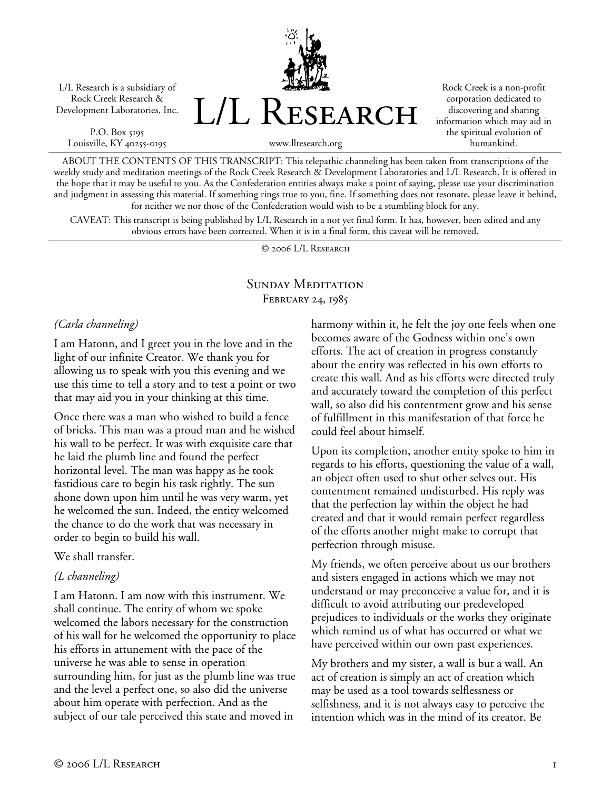L/L Research is a subsidiary of Rock Creek Research & Development Laboratories, Inc.

P.O. Box 5195 Louisville, KY 40255-0195 L/L Research

Rock Creek is a non-profit corporation dedicated to discovering and sharing information which may aid in the spiritual evolution of humankind.

www.llresearch.org

ABOUT THE CONTENTS OF THIS TRANSCRIPT: This telepathic channeling has been taken from transcriptions of the weekly study and meditation meetings of the Rock Creek Research & Development Laboratories and L/L Research. It is offered in the hope that it may be useful to you. As the Confederation entities always make a point of saying, please use your discrimination and judgment in assessing this material. If something rings true to you, fine. If something does not resonate, please leave it behind, for neither we nor those of the Confederation would wish to be a stumbling block for any.

CAVEAT: This transcript is being published by L/L Research in a not yet final form. It has, however, been edited and any obvious errors have been corrected. When it is in a final form, this caveat will be removed.

© 2006 L/L Research

### SUNDAY MEDITATION FEBRUARY 24, 1985

#### *(Carla channeling)*

I am Hatonn, and I greet you in the love and in the light of our infinite Creator. We thank you for allowing us to speak with you this evening and we use this time to tell a story and to test a point or two that may aid you in your thinking at this time.

Once there was a man who wished to build a fence of bricks. This man was a proud man and he wished his wall to be perfect. It was with exquisite care that he laid the plumb line and found the perfect horizontal level. The man was happy as he took fastidious care to begin his task rightly. The sun shone down upon him until he was very warm, yet he welcomed the sun. Indeed, the entity welcomed the chance to do the work that was necessary in order to begin to build his wall.

#### We shall transfer.

### *(L channeling)*

I am Hatonn. I am now with this instrument. We shall continue. The entity of whom we spoke welcomed the labors necessary for the construction of his wall for he welcomed the opportunity to place his efforts in attunement with the pace of the universe he was able to sense in operation surrounding him, for just as the plumb line was true and the level a perfect one, so also did the universe about him operate with perfection. And as the subject of our tale perceived this state and moved in

harmony within it, he felt the joy one feels when one becomes aware of the Godness within one's own efforts. The act of creation in progress constantly about the entity was reflected in his own efforts to create this wall. And as his efforts were directed truly and accurately toward the completion of this perfect wall, so also did his contentment grow and his sense of fulfillment in this manifestation of that force he could feel about himself.

Upon its completion, another entity spoke to him in regards to his efforts, questioning the value of a wall, an object often used to shut other selves out. His contentment remained undisturbed. His reply was that the perfection lay within the object he had created and that it would remain perfect regardless of the efforts another might make to corrupt that perfection through misuse.

My friends, we often perceive about us our brothers and sisters engaged in actions which we may not understand or may preconceive a value for, and it is difficult to avoid attributing our predeveloped prejudices to individuals or the works they originate which remind us of what has occurred or what we have perceived within our own past experiences.

My brothers and my sister, a wall is but a wall. An act of creation is simply an act of creation which may be used as a tool towards selflessness or selfishness, and it is not always easy to perceive the intention which was in the mind of its creator. Be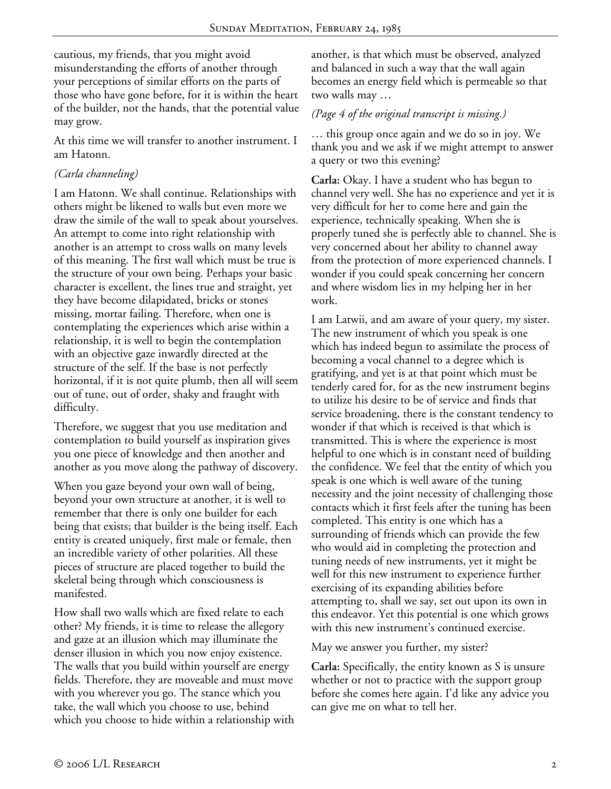cautious, my friends, that you might avoid misunderstanding the efforts of another through your perceptions of similar efforts on the parts of those who have gone before, for it is within the heart of the builder, not the hands, that the potential value may grow.

At this time we will transfer to another instrument. I am Hatonn.

## *(Carla channeling)*

I am Hatonn. We shall continue. Relationships with others might be likened to walls but even more we draw the simile of the wall to speak about yourselves. An attempt to come into right relationship with another is an attempt to cross walls on many levels of this meaning. The first wall which must be true is the structure of your own being. Perhaps your basic character is excellent, the lines true and straight, yet they have become dilapidated, bricks or stones missing, mortar failing. Therefore, when one is contemplating the experiences which arise within a relationship, it is well to begin the contemplation with an objective gaze inwardly directed at the structure of the self. If the base is not perfectly horizontal, if it is not quite plumb, then all will seem out of tune, out of order, shaky and fraught with difficulty.

Therefore, we suggest that you use meditation and contemplation to build yourself as inspiration gives you one piece of knowledge and then another and another as you move along the pathway of discovery.

When you gaze beyond your own wall of being, beyond your own structure at another, it is well to remember that there is only one builder for each being that exists; that builder is the being itself. Each entity is created uniquely, first male or female, then an incredible variety of other polarities. All these pieces of structure are placed together to build the skeletal being through which consciousness is manifested.

How shall two walls which are fixed relate to each other? My friends, it is time to release the allegory and gaze at an illusion which may illuminate the denser illusion in which you now enjoy existence. The walls that you build within yourself are energy fields. Therefore, they are moveable and must move with you wherever you go. The stance which you take, the wall which you choose to use, behind which you choose to hide within a relationship with another, is that which must be observed, analyzed and balanced in such a way that the wall again becomes an energy field which is permeable so that two walls may …

## *(Page 4 of the original transcript is missing.)*

… this group once again and we do so in joy. We thank you and we ask if we might attempt to answer a query or two this evening?

**Carla:** Okay. I have a student who has begun to channel very well. She has no experience and yet it is very difficult for her to come here and gain the experience, technically speaking. When she is properly tuned she is perfectly able to channel. She is very concerned about her ability to channel away from the protection of more experienced channels. I wonder if you could speak concerning her concern and where wisdom lies in my helping her in her work.

I am Latwii, and am aware of your query, my sister. The new instrument of which you speak is one which has indeed begun to assimilate the process of becoming a vocal channel to a degree which is gratifying, and yet is at that point which must be tenderly cared for, for as the new instrument begins to utilize his desire to be of service and finds that service broadening, there is the constant tendency to wonder if that which is received is that which is transmitted. This is where the experience is most helpful to one which is in constant need of building the confidence. We feel that the entity of which you speak is one which is well aware of the tuning necessity and the joint necessity of challenging those contacts which it first feels after the tuning has been completed. This entity is one which has a surrounding of friends which can provide the few who would aid in completing the protection and tuning needs of new instruments, yet it might be well for this new instrument to experience further exercising of its expanding abilities before attempting to, shall we say, set out upon its own in this endeavor. Yet this potential is one which grows with this new instrument's continued exercise.

May we answer you further, my sister?

**Carla:** Specifically, the entity known as S is unsure whether or not to practice with the support group before she comes here again. I'd like any advice you can give me on what to tell her.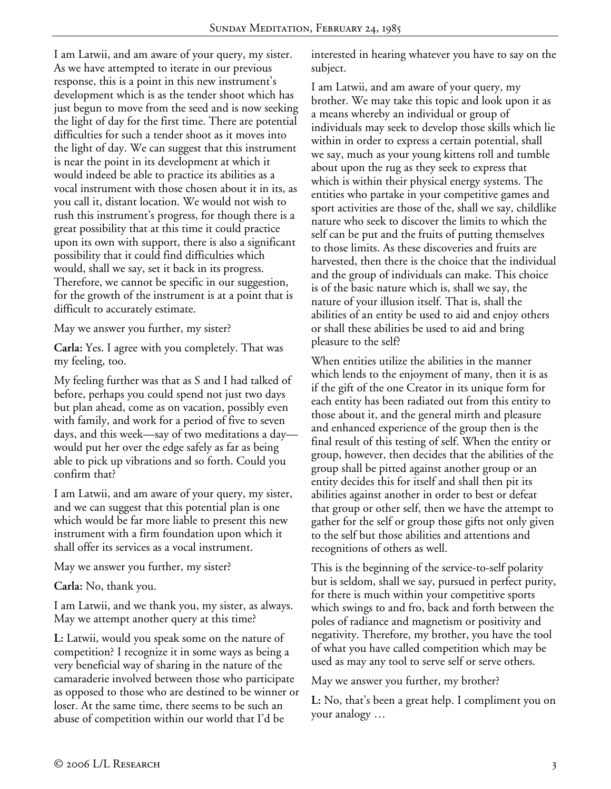I am Latwii, and am aware of your query, my sister. As we have attempted to iterate in our previous response, this is a point in this new instrument's development which is as the tender shoot which has just begun to move from the seed and is now seeking the light of day for the first time. There are potential difficulties for such a tender shoot as it moves into the light of day. We can suggest that this instrument is near the point in its development at which it would indeed be able to practice its abilities as a vocal instrument with those chosen about it in its, as you call it, distant location. We would not wish to rush this instrument's progress, for though there is a great possibility that at this time it could practice upon its own with support, there is also a significant possibility that it could find difficulties which would, shall we say, set it back in its progress. Therefore, we cannot be specific in our suggestion, for the growth of the instrument is at a point that is difficult to accurately estimate.

May we answer you further, my sister?

**Carla:** Yes. I agree with you completely. That was my feeling, too.

My feeling further was that as S and I had talked of before, perhaps you could spend not just two days but plan ahead, come as on vacation, possibly even with family, and work for a period of five to seven days, and this week—say of two meditations a day would put her over the edge safely as far as being able to pick up vibrations and so forth. Could you confirm that?

I am Latwii, and am aware of your query, my sister, and we can suggest that this potential plan is one which would be far more liable to present this new instrument with a firm foundation upon which it shall offer its services as a vocal instrument.

May we answer you further, my sister?

**Carla:** No, thank you.

I am Latwii, and we thank you, my sister, as always. May we attempt another query at this time?

**L:** Latwii, would you speak some on the nature of competition? I recognize it in some ways as being a very beneficial way of sharing in the nature of the camaraderie involved between those who participate as opposed to those who are destined to be winner or loser. At the same time, there seems to be such an abuse of competition within our world that I'd be

interested in hearing whatever you have to say on the subject.

I am Latwii, and am aware of your query, my brother. We may take this topic and look upon it as a means whereby an individual or group of individuals may seek to develop those skills which lie within in order to express a certain potential, shall we say, much as your young kittens roll and tumble about upon the rug as they seek to express that which is within their physical energy systems. The entities who partake in your competitive games and sport activities are those of the, shall we say, childlike nature who seek to discover the limits to which the self can be put and the fruits of putting themselves to those limits. As these discoveries and fruits are harvested, then there is the choice that the individual and the group of individuals can make. This choice is of the basic nature which is, shall we say, the nature of your illusion itself. That is, shall the abilities of an entity be used to aid and enjoy others or shall these abilities be used to aid and bring pleasure to the self?

When entities utilize the abilities in the manner which lends to the enjoyment of many, then it is as if the gift of the one Creator in its unique form for each entity has been radiated out from this entity to those about it, and the general mirth and pleasure and enhanced experience of the group then is the final result of this testing of self. When the entity or group, however, then decides that the abilities of the group shall be pitted against another group or an entity decides this for itself and shall then pit its abilities against another in order to best or defeat that group or other self, then we have the attempt to gather for the self or group those gifts not only given to the self but those abilities and attentions and recognitions of others as well.

This is the beginning of the service-to-self polarity but is seldom, shall we say, pursued in perfect purity, for there is much within your competitive sports which swings to and fro, back and forth between the poles of radiance and magnetism or positivity and negativity. Therefore, my brother, you have the tool of what you have called competition which may be used as may any tool to serve self or serve others.

May we answer you further, my brother?

**L:** No, that's been a great help. I compliment you on your analogy …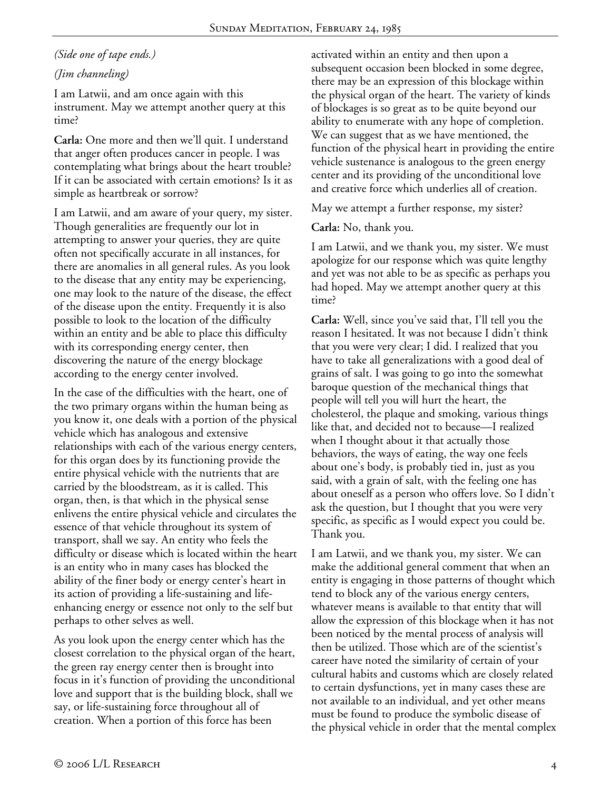# *(Side one of tape ends.)*

# *(Jim channeling)*

I am Latwii, and am once again with this instrument. May we attempt another query at this time?

**Carla:** One more and then we'll quit. I understand that anger often produces cancer in people. I was contemplating what brings about the heart trouble? If it can be associated with certain emotions? Is it as simple as heartbreak or sorrow?

I am Latwii, and am aware of your query, my sister. Though generalities are frequently our lot in attempting to answer your queries, they are quite often not specifically accurate in all instances, for there are anomalies in all general rules. As you look to the disease that any entity may be experiencing, one may look to the nature of the disease, the effect of the disease upon the entity. Frequently it is also possible to look to the location of the difficulty within an entity and be able to place this difficulty with its corresponding energy center, then discovering the nature of the energy blockage according to the energy center involved.

In the case of the difficulties with the heart, one of the two primary organs within the human being as you know it, one deals with a portion of the physical vehicle which has analogous and extensive relationships with each of the various energy centers, for this organ does by its functioning provide the entire physical vehicle with the nutrients that are carried by the bloodstream, as it is called. This organ, then, is that which in the physical sense enlivens the entire physical vehicle and circulates the essence of that vehicle throughout its system of transport, shall we say. An entity who feels the difficulty or disease which is located within the heart is an entity who in many cases has blocked the ability of the finer body or energy center's heart in its action of providing a life-sustaining and lifeenhancing energy or essence not only to the self but perhaps to other selves as well.

As you look upon the energy center which has the closest correlation to the physical organ of the heart, the green ray energy center then is brought into focus in it's function of providing the unconditional love and support that is the building block, shall we say, or life-sustaining force throughout all of creation. When a portion of this force has been

activated within an entity and then upon a subsequent occasion been blocked in some degree, there may be an expression of this blockage within the physical organ of the heart. The variety of kinds of blockages is so great as to be quite beyond our ability to enumerate with any hope of completion. We can suggest that as we have mentioned, the function of the physical heart in providing the entire vehicle sustenance is analogous to the green energy center and its providing of the unconditional love and creative force which underlies all of creation.

May we attempt a further response, my sister?

**Carla:** No, thank you.

I am Latwii, and we thank you, my sister. We must apologize for our response which was quite lengthy and yet was not able to be as specific as perhaps you had hoped. May we attempt another query at this time?

**Carla:** Well, since you've said that, I'll tell you the reason I hesitated. It was not because I didn't think that you were very clear; I did. I realized that you have to take all generalizations with a good deal of grains of salt. I was going to go into the somewhat baroque question of the mechanical things that people will tell you will hurt the heart, the cholesterol, the plaque and smoking, various things like that, and decided not to because—I realized when I thought about it that actually those behaviors, the ways of eating, the way one feels about one's body, is probably tied in, just as you said, with a grain of salt, with the feeling one has about oneself as a person who offers love. So I didn't ask the question, but I thought that you were very specific, as specific as I would expect you could be. Thank you.

I am Latwii, and we thank you, my sister. We can make the additional general comment that when an entity is engaging in those patterns of thought which tend to block any of the various energy centers, whatever means is available to that entity that will allow the expression of this blockage when it has not been noticed by the mental process of analysis will then be utilized. Those which are of the scientist's career have noted the similarity of certain of your cultural habits and customs which are closely related to certain dysfunctions, yet in many cases these are not available to an individual, and yet other means must be found to produce the symbolic disease of the physical vehicle in order that the mental complex